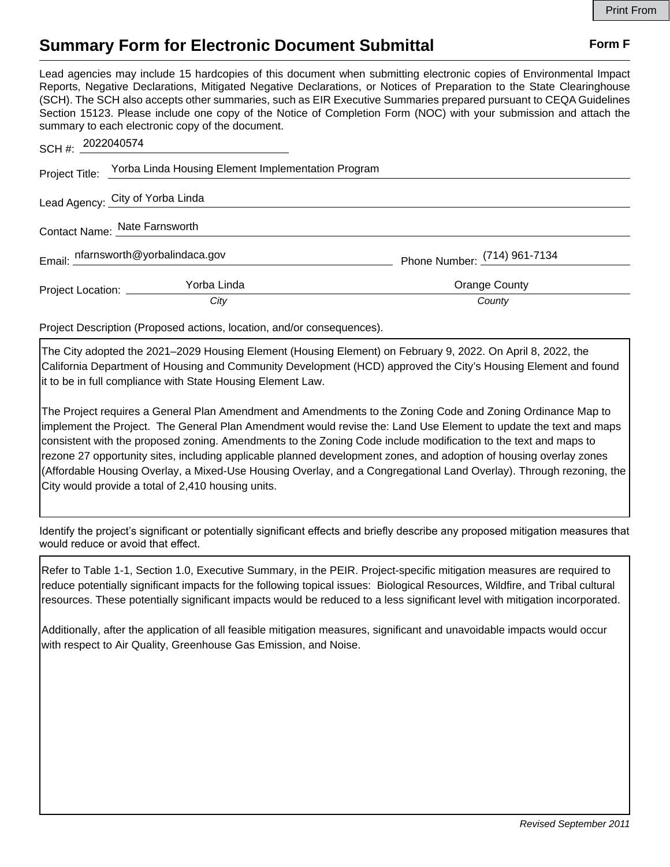## **Summary Form for Electronic Document Submittal Form F Form F**

Lead agencies may include 15 hardcopies of this document when submitting electronic copies of Environmental Impact Reports, Negative Declarations, Mitigated Negative Declarations, or Notices of Preparation to the State Clearinghouse (SCH). The SCH also accepts other summaries, such as EIR Executive Summaries prepared pursuant to CEQA Guidelines Section 15123. Please include one copy of the Notice of Completion Form (NOC) with your submission and attach the summary to each electronic copy of the document.

| SCH #: 2022040574             |                                                                   |                                |
|-------------------------------|-------------------------------------------------------------------|--------------------------------|
|                               | Project Title: Yorba Linda Housing Element Implementation Program |                                |
|                               | Lead Agency: City of Yorba Linda                                  |                                |
| Contact Name: Nate Farnsworth |                                                                   |                                |
|                               | Email: nfarnsworth@yorbalindaca.gov                               | Phone Number: $(714)$ 961-7134 |
| Project Location: _________   | Yorba Linda                                                       | Orange County                  |
|                               | City                                                              | County                         |

Project Description (Proposed actions, location, and/or consequences).

The City adopted the 2021–2029 Housing Element (Housing Element) on February 9, 2022. On April 8, 2022, the California Department of Housing and Community Development (HCD) approved the City's Housing Element and found it to be in full compliance with State Housing Element Law.

The Project requires a General Plan Amendment and Amendments to the Zoning Code and Zoning Ordinance Map to implement the Project. The General Plan Amendment would revise the: Land Use Element to update the text and maps consistent with the proposed zoning. Amendments to the Zoning Code include modification to the text and maps to rezone 27 opportunity sites, including applicable planned development zones, and adoption of housing overlay zones (Affordable Housing Overlay, a Mixed-Use Housing Overlay, and a Congregational Land Overlay). Through rezoning, the City would provide a total of 2,410 housing units.

Identify the project's significant or potentially significant effects and briefly describe any proposed mitigation measures that would reduce or avoid that effect.

Refer to Table 1-1, Section 1.0, Executive Summary, in the PEIR. Project-specific mitigation measures are required to reduce potentially significant impacts for the following topical issues: Biological Resources, Wildfire, and Tribal cultural resources. These potentially significant impacts would be reduced to a less significant level with mitigation incorporated.

Additionally, after the application of all feasible mitigation measures, significant and unavoidable impacts would occur with respect to Air Quality, Greenhouse Gas Emission, and Noise.